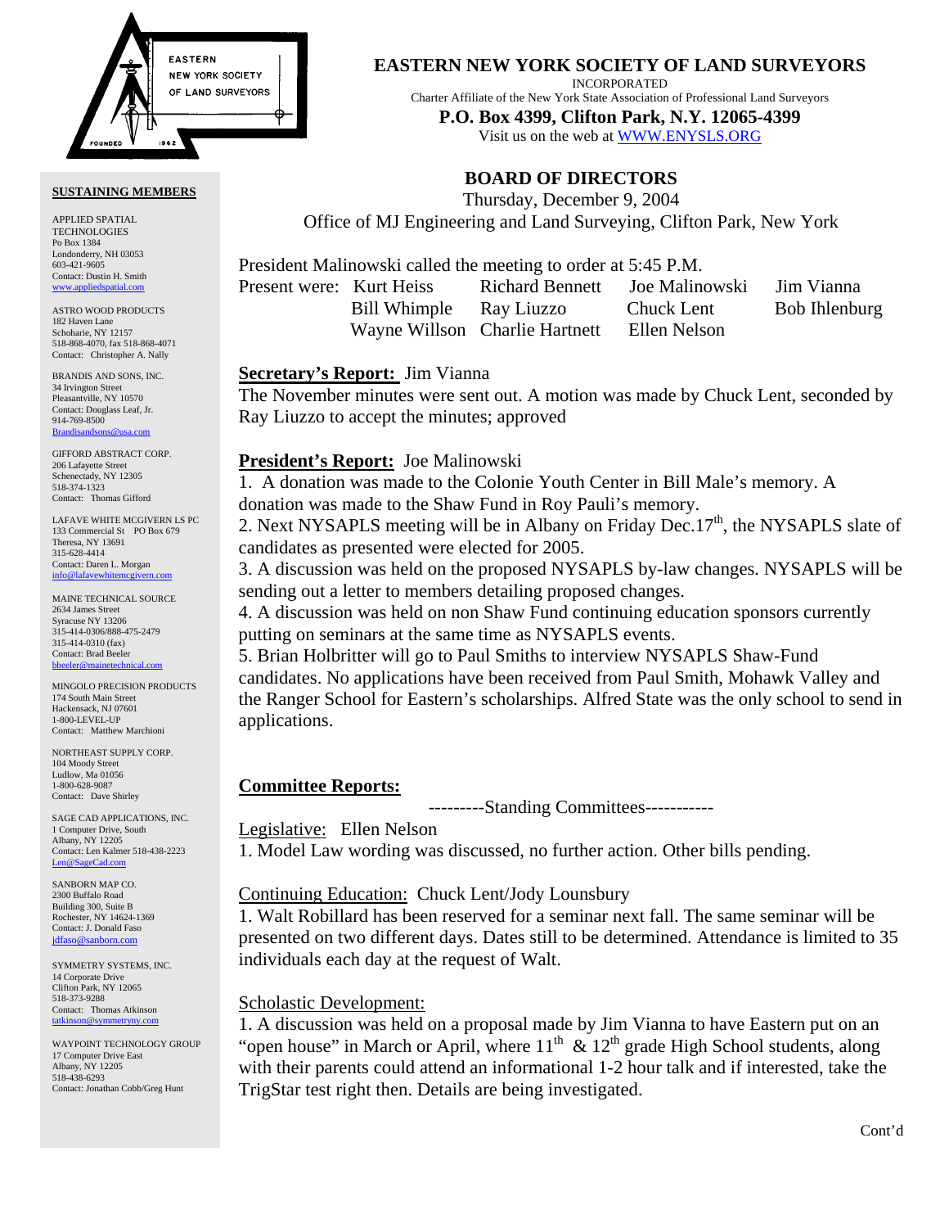

#### **SUSTAINING MEMBERS**

APPLIED SPATIAL TECHNOLOGIES Po Box 1384 Londonderry, NH 03053 603-421-9605 Contact: Dustin H. Smith <www.appliedspatial.com>

ASTRO WOOD PRODUCTS 182 Haven Lane Schoharie, NY 12157 518-868-4070, fax 518-868-4071 Contact: Christopher A. Nally

BRANDIS AND SONS, INC. 34 Irvington Street Pleasantville, NY 10570 Contact: Douglass Leaf, Jr. 914-769-8500 [Brandisandsons@usa.com](MAILTO:brandisandsons@usa.com)

GIFFORD ABSTRACT CORP. 206 Lafayette Street Schenectady, NY 12305 518-374-1323 Contact: Thomas Gifford

LAFAVE WHITE MCGIVERN LS PC 133 Commercial St PO Box 679 Theresa, NY 13691 315-628-4414 Contact: Daren L. Morgan [info@lafavewhitemcgivern.com](MAILTO:info@lafavewhitemcgivern.com)

MAINE TECHNICAL SOURCE 2634 James Street Syracuse NY 13206 315-414-0306/888-475-2479 315-414-0310 (fax) Contact: Brad Beeler [bbeeler@mainetechnical.com](MAILTO:bbeeler@mainetechnical.com)

MINGOLO PRECISION PRODUCTS 174 South Main Street Hackensack, NJ 07601 1-800-LEVEL-UP Contact: Matthew Marchioni

NORTHEAST SUPPLY CORP. 104 Moody Street Ludlow, Ma 01056 1-800-628-9087 Contact: Dave Shirley

SAGE CAD APPLICATIONS, INC. 1 Computer Drive, South Albany, NY 12205 Contact: Len Kalmer 518-438-2223 [Len@SageCad.com](MAILTO:Len@SageCad.com)

SANBORN MAP CO. 2300 Buffalo Road Building 300, Suite B Rochester, NY 14624-1369 Contact: J. Donald Faso [jdfaso@sanborn.com](mailto:jdfaso@sanborn.com)

SYMMETRY SYSTEMS, INC. 14 Corporate Drive Clifton Park, NY 12065 518-373-9288 Contact: Thomas Atkinson [tatkinson@symmetryny.com](mailto:tatkinson@symmetryny.com)

WAYPOINT TECHNOLOGY GROUP 17 Computer Drive East Albany, NY 12205 518-438-6293 Contact: Jonathan Cobb/Greg Hunt

**EASTERN NEW YORK SOCIETY OF LAND SURVEYORS**

INCORPORATED

Charter Affiliate of the New York State Association of Professional Land Surveyors

**P.O. Box 4399, Clifton Park, N.Y. 12065-4399** 

Visit us on the web a[t WWW.ENYSLS.ORG](www.enysls.org)

# **BOARD OF DIRECTORS**

Thursday, December 9, 2004 Office of MJ Engineering and Land Surveying, Clifton Park, New York

President Malinowski called the meeting to order at 5:45 P.M.

Present were: Kurt Heiss Richard Bennett Joe Malinowski Jim Vianna

Bill Whimple Ray Liuzzo Chuck Lent Bob Ihlenburg Wayne Willson Charlie Hartnett Ellen Nelson

### **Secretary's Report:** Jim Vianna

The November minutes were sent out. A motion was made by Chuck Lent, seconded by Ray Liuzzo to accept the minutes; approved

### **President's Report:** Joe Malinowski

1. A donation was made to the Colonie Youth Center in Bill Male's memory. A donation was made to the Shaw Fund in Roy Pauli's memory.

2. Next NYSAPLS meeting will be in Albany on Friday Dec.  $17<sup>th</sup>$ , the NYSAPLS slate of candidates as presented were elected for 2005.

3. A discussion was held on the proposed NYSAPLS by-law changes. NYSAPLS will be sending out a letter to members detailing proposed changes.

4. A discussion was held on non Shaw Fund continuing education sponsors currently putting on seminars at the same time as NYSAPLS events.

5. Brian Holbritter will go to Paul Smiths to interview NYSAPLS Shaw-Fund candidates. No applications have been received from Paul Smith, Mohawk Valley and the Ranger School for Eastern's scholarships. Alfred State was the only school to send in applications.

# **Committee Reports:**

---------Standing Committees-----------

### Legislative: Ellen Nelson

1. Model Law wording was discussed, no further action. Other bills pending.

# Continuing Education: Chuck Lent/Jody Lounsbury

1. Walt Robillard has been reserved for a seminar next fall. The same seminar will be presented on two different days. Dates still to be determined. Attendance is limited to 35 individuals each day at the request of Walt.

# Scholastic Development:

1. A discussion was held on a proposal made by Jim Vianna to have Eastern put on an "open house" in March or April, where  $11<sup>th</sup> \& 12<sup>th</sup>$  grade High School students, along with their parents could attend an informational 1-2 hour talk and if interested, take the TrigStar test right then. Details are being investigated.